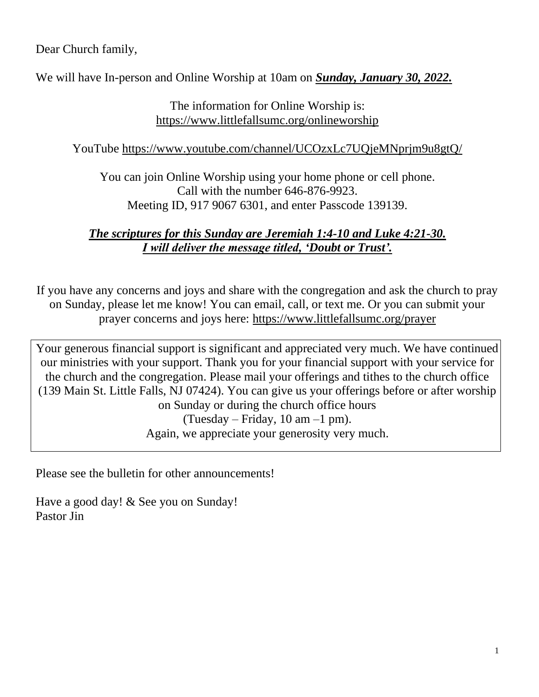Dear Church family,

We will have In-person and Online Worship at 10am on *Sunday, January 30, 2022.*

## The information for Online Worship is: <https://www.littlefallsumc.org/onlineworship>

YouTube<https://www.youtube.com/channel/UCOzxLc7UQjeMNprjm9u8gtQ/>

You can join Online Worship using your home phone or cell phone. Call with the number 646-876-9923. Meeting ID, 917 9067 6301, and enter Passcode 139139.

# *The scriptures for this Sunday are Jeremiah 1:4-10 and Luke 4:21-30. I will deliver the message titled, 'Doubt or Trust'.*

If you have any concerns and joys and share with the congregation and ask the church to pray on Sunday, please let me know! You can email, call, or text me. Or you can submit your prayer concerns and joys here: <https://www.littlefallsumc.org/prayer>

Your generous financial support is significant and appreciated very much. We have continued our ministries with your support. Thank you for your financial support with your service for the church and the congregation. Please mail your offerings and tithes to the church office (139 Main St. Little Falls, NJ 07424). You can give us your offerings before or after worship on Sunday or during the church office hours (Tuesday – Friday, 10 am –1 pm). Again, we appreciate your generosity very much.

Please see the bulletin for other announcements!

Have a good day! & See you on Sunday! Pastor Jin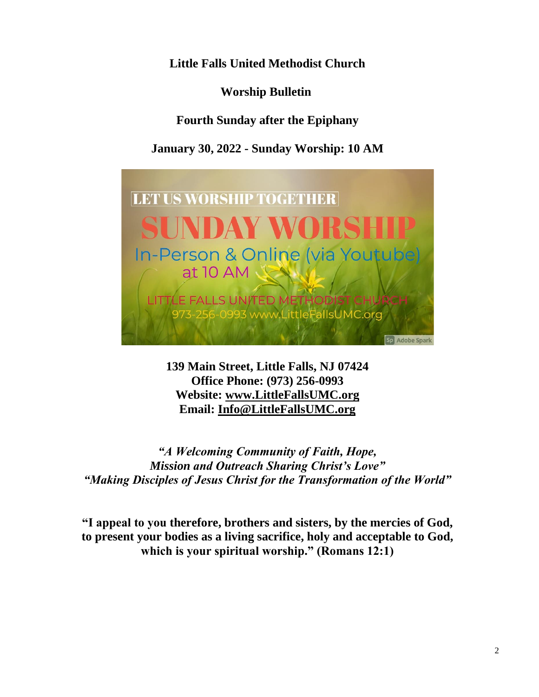**Little Falls United Methodist Church**

**Worship Bulletin**

**Fourth Sunday after the Epiphany**

**January 30, 2022 - Sunday Worship: 10 AM**



**139 Main Street, Little Falls, NJ 07424 Office Phone: (973) 256-0993 Website: [www.LittleFallsUMC.org](http://www.littlefallsumc.org/) Email: [Info@LittleFallsUMC.org](mailto:Info@LittleFallsUMC.org)**

*"A Welcoming Community of Faith, Hope, Mission and Outreach Sharing Christ's Love" "Making Disciples of Jesus Christ for the Transformation of the World"*

**"I appeal to you therefore, brothers and sisters, by the mercies of God, to present your bodies as a living sacrifice, holy and acceptable to God, which is your spiritual worship." (Romans 12:1)**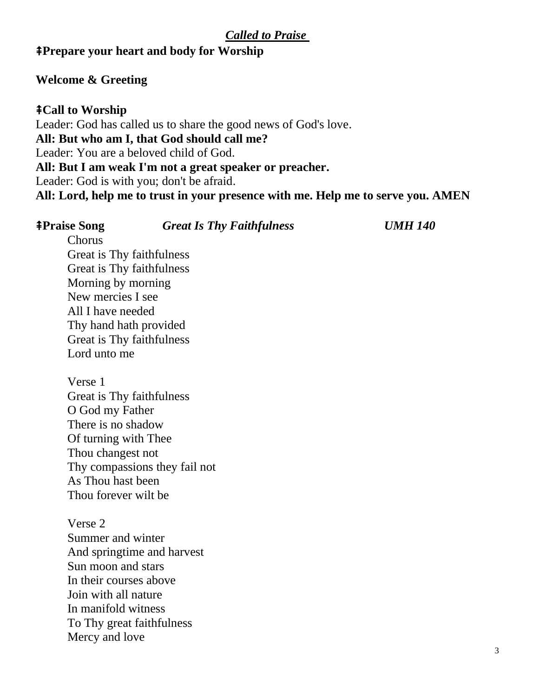# *Called to Praise*

# ⭻**Prepare your heart and body for Worship**

## **Welcome & Greeting**

# ⭻**Call to Worship**

Leader: God has called us to share the good news of God's love. **All: But who am I, that God should call me?** Leader: You are a beloved child of God. **All: But I am weak I'm not a great speaker or preacher.** Leader: God is with you; don't be afraid. **All: Lord, help me to trust in your presence with me. Help me to serve you. AMEN**

⭻**Praise Song** *Great Is Thy Faithfulness UMH 140*

Chorus Great is Thy faithfulness Great is Thy faithfulness Morning by morning New mercies I see All I have needed Thy hand hath provided Great is Thy faithfulness Lord unto me

# Verse 1

Great is Thy faithfulness O God my Father There is no shadow Of turning with Thee Thou changest not Thy compassions they fail not As Thou hast been Thou forever wilt be

Verse 2 Summer and winter And springtime and harvest Sun moon and stars In their courses above Join with all nature In manifold witness To Thy great faithfulness Mercy and love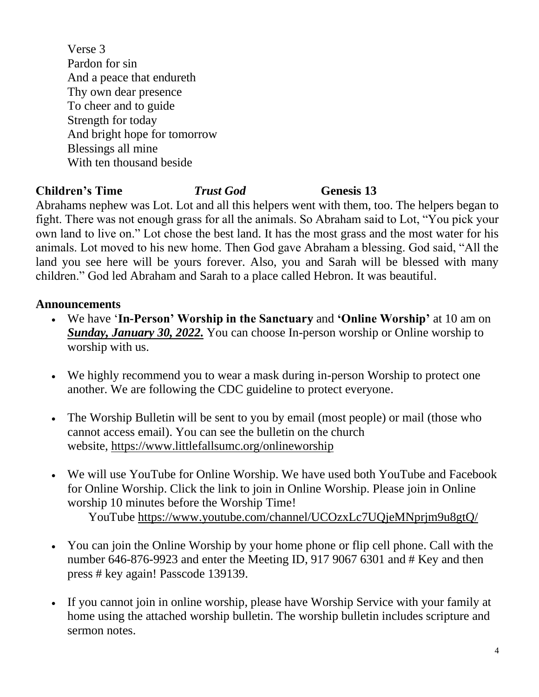Verse 3 Pardon for sin And a peace that endureth Thy own dear presence To cheer and to guide Strength for today And bright hope for tomorrow Blessings all mine With ten thousand beside

## **Children's Time** *Trust God* **Genesis 13**

Abrahams nephew was Lot. Lot and all this helpers went with them, too. The helpers began to fight. There was not enough grass for all the animals. So Abraham said to Lot, "You pick your own land to live on." Lot chose the best land. It has the most grass and the most water for his animals. Lot moved to his new home. Then God gave Abraham a blessing. God said, "All the land you see here will be yours forever. Also, you and Sarah will be blessed with many children." God led Abraham and Sarah to a place called Hebron. It was beautiful.

## **Announcements**

- We have '**In-Person' Worship in the Sanctuary** and **'Online Worship'** at 10 am on *Sunday, January 30, 2022.* You can choose In-person worship or Online worship to worship with us.
- We highly recommend you to wear a mask during in-person Worship to protect one another. We are following the CDC guideline to protect everyone.
- The Worship Bulletin will be sent to you by email (most people) or mail (those who cannot access email). You can see the bulletin on the church website, <https://www.littlefallsumc.org/onlineworship>
- We will use YouTube for Online Worship. We have used both YouTube and Facebook for Online Worship. Click the link to join in Online Worship. Please join in Online worship 10 minutes before the Worship Time! YouTube <https://www.youtube.com/channel/UCOzxLc7UQjeMNprjm9u8gtQ/>
- You can join the Online Worship by your home phone or flip cell phone. Call with the number 646-876-9923 and enter the Meeting ID, 917 9067 6301 and # Key and then press # key again! Passcode 139139.
- If you cannot join in online worship, please have Worship Service with your family at home using the attached worship bulletin. The worship bulletin includes scripture and sermon notes.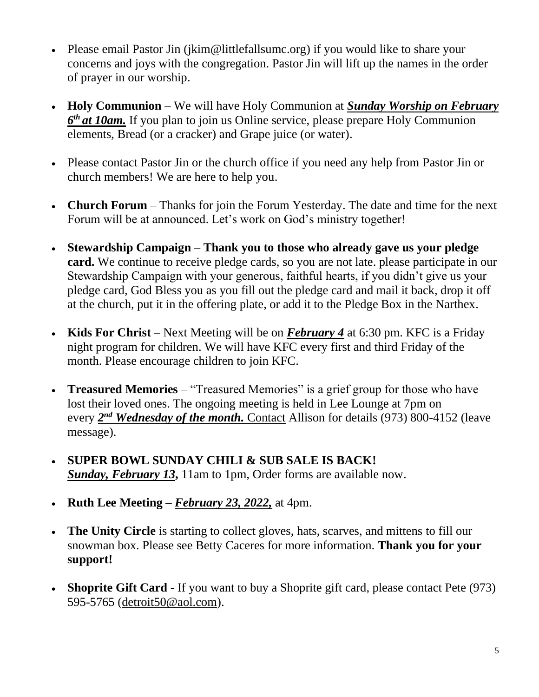- Please email Pastor Jin (jkim@littlefallsumc.org) if you would like to share your concerns and joys with the congregation. Pastor Jin will lift up the names in the order of prayer in our worship.
- **Holy Communion** We will have Holy Communion at *Sunday Worship on February* 6<sup>th</sup> at 10am. If you plan to join us Online service, please prepare Holy Communion elements, Bread (or a cracker) and Grape juice (or water).
- Please contact Pastor Jin or the church office if you need any help from Pastor Jin or church members! We are here to help you.
- **Church Forum** Thanks for join the Forum Yesterday. The date and time for the next Forum will be at announced. Let's work on God's ministry together!
- **Stewardship Campaign Thank you to those who already gave us your pledge card.** We continue to receive pledge cards, so you are not late. please participate in our Stewardship Campaign with your generous, faithful hearts, if you didn't give us your pledge card, God Bless you as you fill out the pledge card and mail it back, drop it off at the church, put it in the offering plate, or add it to the Pledge Box in the Narthex.
- **Kids For Christ** Next Meeting will be on *February 4* at 6:30 pm. KFC is a Friday night program for children. We will have KFC every first and third Friday of the month. Please encourage children to join KFC.
- **Treasured Memories** "Treasured Memories" is a grief group for those who have lost their loved ones. The ongoing meeting is held in Lee Lounge at 7pm on every 2<sup>nd</sup> Wednesday of the month. Contact Allison for details (973) 800-4152 (leave message).
- **SUPER BOWL SUNDAY CHILI & SUB SALE IS BACK!** *Sunday, February 13***,** 11am to 1pm, Order forms are available now.
- **Ruth Lee Meeting –** *February 23, 2022,* at 4pm.
- **The Unity Circle** is starting to collect gloves, hats, scarves, and mittens to fill our snowman box. Please see Betty Caceres for more information. **Thank you for your support!**
- **Shoprite Gift Card** If you want to buy a Shoprite gift card, please contact Pete (973) 595-5765 [\(detroit50@aol.com\)](mailto:detroit50@aol.com).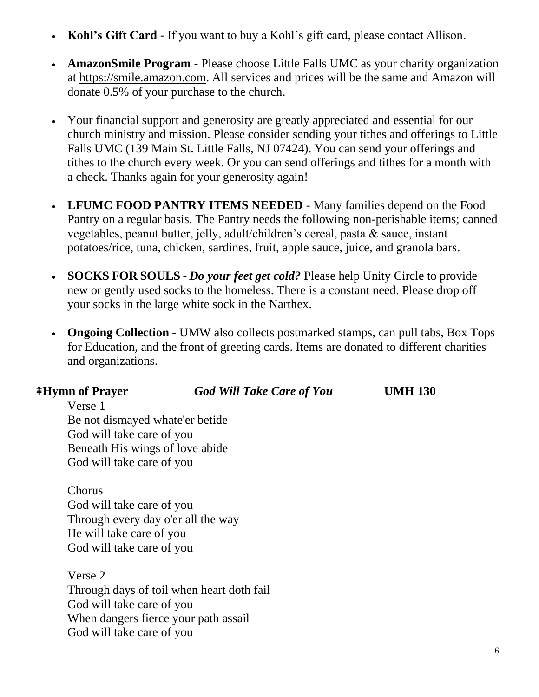- **Kohl's Gift Card** If you want to buy a Kohl's gift card, please contact Allison.
- **AmazonSmile Program** Please choose Little Falls UMC as your charity organization at https://smile.amazon.com. All services and prices will be the same and Amazon will donate 0.5% of your purchase to the church.
- Your financial support and generosity are greatly appreciated and essential for our church ministry and mission. Please consider sending your tithes and offerings to Little Falls UMC (139 Main St. Little Falls, NJ 07424). You can send your offerings and tithes to the church every week. Or you can send offerings and tithes for a month with a check. Thanks again for your generosity again!
- **LFUMC FOOD PANTRY ITEMS NEEDED** Many families depend on the Food Pantry on a regular basis. The Pantry needs the following non-perishable items; canned vegetables, peanut butter, jelly, adult/children's cereal, pasta & sauce, instant potatoes/rice, tuna, chicken, sardines, fruit, apple sauce, juice, and granola bars.
- **SOCKS FOR SOULS** *Do your feet get cold?* Please help Unity Circle to provide new or gently used socks to the homeless. There is a constant need. Please drop off your socks in the large white sock in the Narthex.
- **Ongoing Collection** UMW also collects postmarked stamps, can pull tabs, Box Tops for Education, and the front of greeting cards. Items are donated to different charities and organizations.

# ⭻**Hymn of Prayer** *God Will Take Care of You* **UMH 130**

Verse 1 Be not dismayed whate'er betide God will take care of you Beneath His wings of love abide God will take care of you

Chorus God will take care of you Through every day o'er all the way He will take care of you God will take care of you

Verse 2 Through days of toil when heart doth fail God will take care of you When dangers fierce your path assail God will take care of you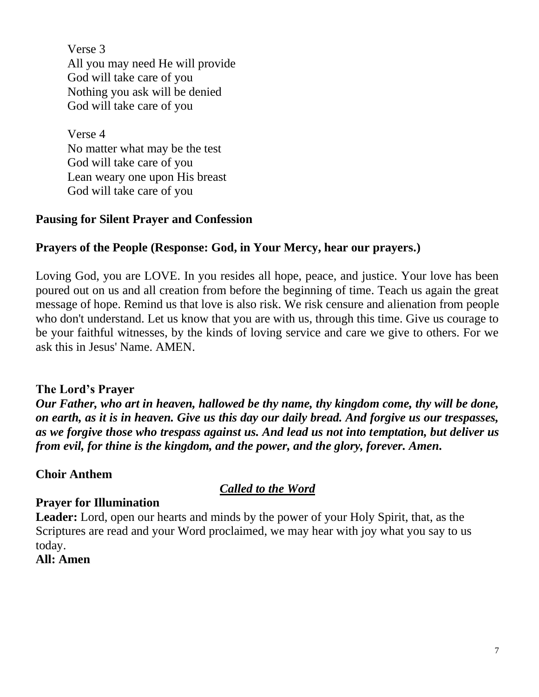Verse 3 All you may need He will provide God will take care of you Nothing you ask will be denied God will take care of you

Verse 4 No matter what may be the test God will take care of you Lean weary one upon His breast God will take care of you

## **Pausing for Silent Prayer and Confession**

# **Prayers of the People (Response: God, in Your Mercy, hear our prayers.)**

Loving God, you are LOVE. In you resides all hope, peace, and justice. Your love has been poured out on us and all creation from before the beginning of time. Teach us again the great message of hope. Remind us that love is also risk. We risk censure and alienation from people who don't understand. Let us know that you are with us, through this time. Give us courage to be your faithful witnesses, by the kinds of loving service and care we give to others. For we ask this in Jesus' Name. AMEN.

## **The Lord's Prayer**

*Our Father, who art in heaven, hallowed be thy name, thy kingdom come, thy will be done, on earth, as it is in heaven. Give us this day our daily bread. And forgive us our trespasses, as we forgive those who trespass against us. And lead us not into temptation, but deliver us from evil, for thine is the kingdom, and the power, and the glory, forever. Amen.*

### **Choir Anthem**

## *Called to the Word*

### **Prayer for Illumination**

**Leader:** Lord, open our hearts and minds by the power of your Holy Spirit, that, as the Scriptures are read and your Word proclaimed, we may hear with joy what you say to us today.

### **All: Amen**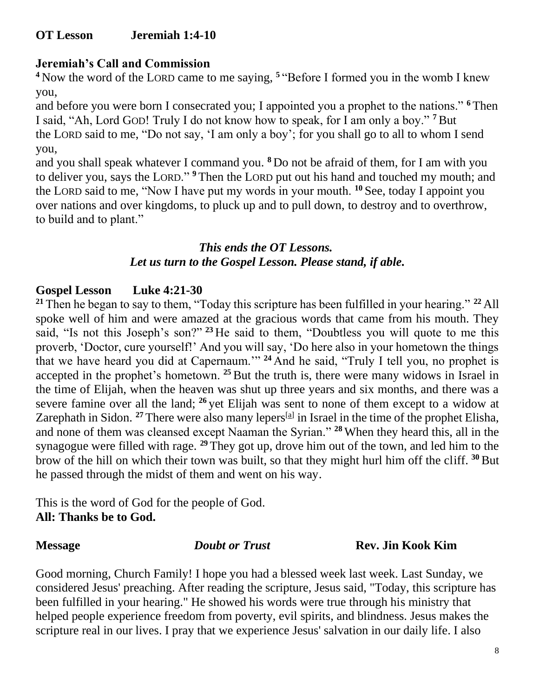# **OT Lesson Jeremiah 1:4-10**

## **Jeremiah's Call and Commission**

<sup>4</sup> Now the word of the LORD came to me saying, <sup>5</sup> "Before I formed you in the womb I knew you,

and before you were born I consecrated you; I appointed you a prophet to the nations." **<sup>6</sup>** Then I said, "Ah, Lord GOD! Truly I do not know how to speak, for I am only a boy." **<sup>7</sup>**But the LORD said to me, "Do not say, 'I am only a boy'; for you shall go to all to whom I send you,

and you shall speak whatever I command you. **<sup>8</sup>** Do not be afraid of them, for I am with you to deliver you, says the LORD." **<sup>9</sup>** Then the LORD put out his hand and touched my mouth; and the LORD said to me, "Now I have put my words in your mouth. **<sup>10</sup>** See, today I appoint you over nations and over kingdoms, to pluck up and to pull down, to destroy and to overthrow, to build and to plant."

## *This ends the OT Lessons. Let us turn to the Gospel Lesson. Please stand, if able.*

# **Gospel Lesson Luke 4:21-30**

**<sup>21</sup>** Then he began to say to them, "Today this scripture has been fulfilled in your hearing." **<sup>22</sup>** All spoke well of him and were amazed at the gracious words that came from his mouth. They said, "Is not this Joseph's son?" **<sup>23</sup>** He said to them, "Doubtless you will quote to me this proverb, 'Doctor, cure yourself!' And you will say, 'Do here also in your hometown the things that we have heard you did at Capernaum.'" **<sup>24</sup>** And he said, "Truly I tell you, no prophet is accepted in the prophet's hometown. **<sup>25</sup>**But the truth is, there were many widows in Israel in the time of Elijah, when the heaven was shut up three years and six months, and there was a severe famine over all the land; **<sup>26</sup>** yet Elijah was sent to none of them except to a widow at Zarephath in Sidon. <sup>27</sup> There were also many lepers<sup>[\[a\]](https://www.biblegateway.com/passage/?search=Luke+4%3A21-30&version=NRSV#fen-NRSV-25083a)</sup> in Israel in the time of the prophet Elisha, and none of them was cleansed except Naaman the Syrian." **<sup>28</sup>** When they heard this, all in the synagogue were filled with rage. **<sup>29</sup>** They got up, drove him out of the town, and led him to the brow of the hill on which their town was built, so that they might hurl him off the cliff. **<sup>30</sup>**But he passed through the midst of them and went on his way.

This is the word of God for the people of God. **All: Thanks be to God.**

**Message** *Doubt or Trust* **Rev. Jin Kook Kim**

Good morning, Church Family! I hope you had a blessed week last week. Last Sunday, we considered Jesus' preaching. After reading the scripture, Jesus said, "Today, this scripture has been fulfilled in your hearing." He showed his words were true through his ministry that helped people experience freedom from poverty, evil spirits, and blindness. Jesus makes the scripture real in our lives. I pray that we experience Jesus' salvation in our daily life. I also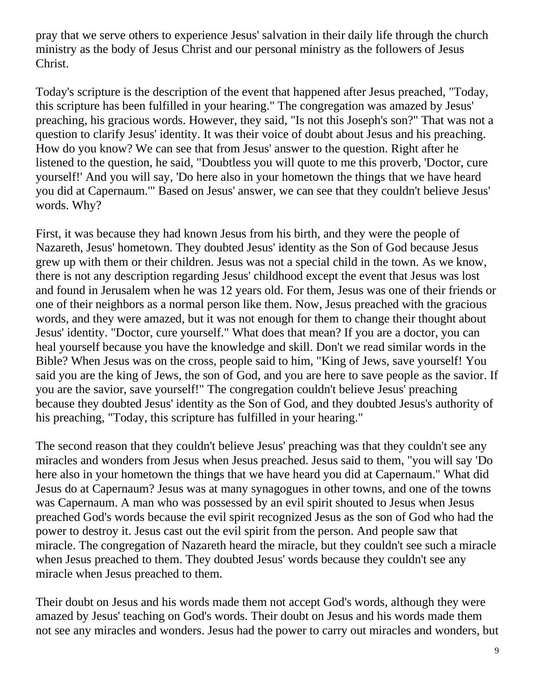pray that we serve others to experience Jesus' salvation in their daily life through the church ministry as the body of Jesus Christ and our personal ministry as the followers of Jesus Christ.

Today's scripture is the description of the event that happened after Jesus preached, "Today, this scripture has been fulfilled in your hearing." The congregation was amazed by Jesus' preaching, his gracious words. However, they said, "Is not this Joseph's son?" That was not a question to clarify Jesus' identity. It was their voice of doubt about Jesus and his preaching. How do you know? We can see that from Jesus' answer to the question. Right after he listened to the question, he said, "Doubtless you will quote to me this proverb, 'Doctor, cure yourself!' And you will say, 'Do here also in your hometown the things that we have heard you did at Capernaum.'" Based on Jesus' answer, we can see that they couldn't believe Jesus' words. Why?

First, it was because they had known Jesus from his birth, and they were the people of Nazareth, Jesus' hometown. They doubted Jesus' identity as the Son of God because Jesus grew up with them or their children. Jesus was not a special child in the town. As we know, there is not any description regarding Jesus' childhood except the event that Jesus was lost and found in Jerusalem when he was 12 years old. For them, Jesus was one of their friends or one of their neighbors as a normal person like them. Now, Jesus preached with the gracious words, and they were amazed, but it was not enough for them to change their thought about Jesus' identity. "Doctor, cure yourself." What does that mean? If you are a doctor, you can heal yourself because you have the knowledge and skill. Don't we read similar words in the Bible? When Jesus was on the cross, people said to him, "King of Jews, save yourself! You said you are the king of Jews, the son of God, and you are here to save people as the savior. If you are the savior, save yourself!" The congregation couldn't believe Jesus' preaching because they doubted Jesus' identity as the Son of God, and they doubted Jesus's authority of his preaching, "Today, this scripture has fulfilled in your hearing."

The second reason that they couldn't believe Jesus' preaching was that they couldn't see any miracles and wonders from Jesus when Jesus preached. Jesus said to them, "you will say 'Do here also in your hometown the things that we have heard you did at Capernaum." What did Jesus do at Capernaum? Jesus was at many synagogues in other towns, and one of the towns was Capernaum. A man who was possessed by an evil spirit shouted to Jesus when Jesus preached God's words because the evil spirit recognized Jesus as the son of God who had the power to destroy it. Jesus cast out the evil spirit from the person. And people saw that miracle. The congregation of Nazareth heard the miracle, but they couldn't see such a miracle when Jesus preached to them. They doubted Jesus' words because they couldn't see any miracle when Jesus preached to them.

Their doubt on Jesus and his words made them not accept God's words, although they were amazed by Jesus' teaching on God's words. Their doubt on Jesus and his words made them not see any miracles and wonders. Jesus had the power to carry out miracles and wonders, but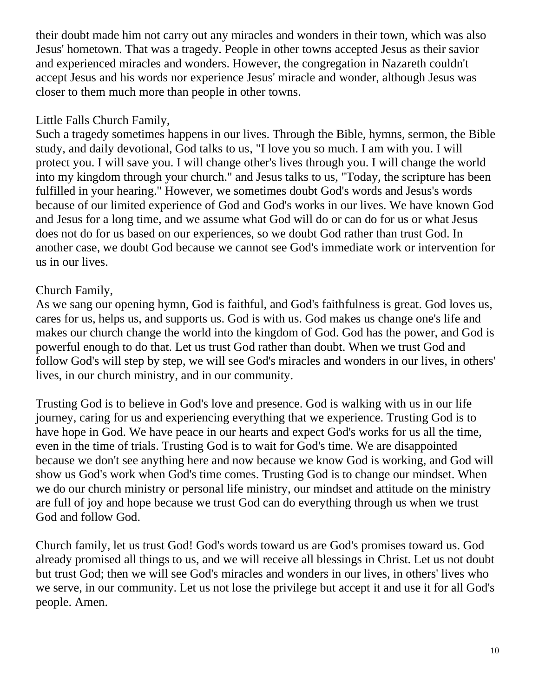their doubt made him not carry out any miracles and wonders in their town, which was also Jesus' hometown. That was a tragedy. People in other towns accepted Jesus as their savior and experienced miracles and wonders. However, the congregation in Nazareth couldn't accept Jesus and his words nor experience Jesus' miracle and wonder, although Jesus was closer to them much more than people in other towns.

# Little Falls Church Family,

Such a tragedy sometimes happens in our lives. Through the Bible, hymns, sermon, the Bible study, and daily devotional, God talks to us, "I love you so much. I am with you. I will protect you. I will save you. I will change other's lives through you. I will change the world into my kingdom through your church." and Jesus talks to us, "Today, the scripture has been fulfilled in your hearing." However, we sometimes doubt God's words and Jesus's words because of our limited experience of God and God's works in our lives. We have known God and Jesus for a long time, and we assume what God will do or can do for us or what Jesus does not do for us based on our experiences, so we doubt God rather than trust God. In another case, we doubt God because we cannot see God's immediate work or intervention for us in our lives.

# Church Family,

As we sang our opening hymn, God is faithful, and God's faithfulness is great. God loves us, cares for us, helps us, and supports us. God is with us. God makes us change one's life and makes our church change the world into the kingdom of God. God has the power, and God is powerful enough to do that. Let us trust God rather than doubt. When we trust God and follow God's will step by step, we will see God's miracles and wonders in our lives, in others' lives, in our church ministry, and in our community.

Trusting God is to believe in God's love and presence. God is walking with us in our life journey, caring for us and experiencing everything that we experience. Trusting God is to have hope in God. We have peace in our hearts and expect God's works for us all the time, even in the time of trials. Trusting God is to wait for God's time. We are disappointed because we don't see anything here and now because we know God is working, and God will show us God's work when God's time comes. Trusting God is to change our mindset. When we do our church ministry or personal life ministry, our mindset and attitude on the ministry are full of joy and hope because we trust God can do everything through us when we trust God and follow God.

Church family, let us trust God! God's words toward us are God's promises toward us. God already promised all things to us, and we will receive all blessings in Christ. Let us not doubt but trust God; then we will see God's miracles and wonders in our lives, in others' lives who we serve, in our community. Let us not lose the privilege but accept it and use it for all God's people. Amen.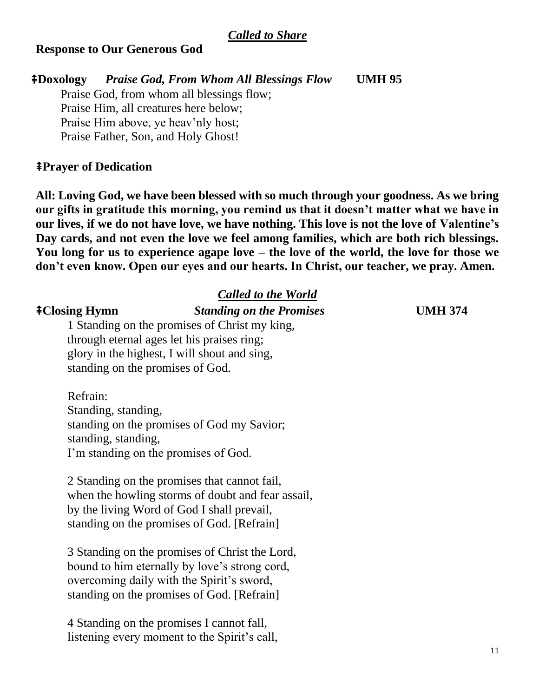## *Called to Share*

#### **Response to Our Generous God**

### ⭻**Doxology** *Praise God, From Whom All Blessings Flow* **UMH 95**

Praise God, from whom all blessings flow; Praise Him, all creatures here below; Praise Him above, ye heav'nly host; Praise Father, Son, and Holy Ghost!

#### ⭻**Prayer of Dedication**

**All: Loving God, we have been blessed with so much through your goodness. As we bring our gifts in gratitude this morning, you remind us that it doesn't matter what we have in our lives, if we do not have love, we have nothing. This love is not the love of Valentine's Day cards, and not even the love we feel among families, which are both rich blessings. You long for us to experience agape love – the love of the world, the love for those we don't even know. Open our eyes and our hearts. In Christ, our teacher, we pray. Amen.**

### *Called to the World*

#### ⭻**Closing Hymn** *Standing on the Promises* **UMH 374**

1 Standing on the promises of Christ my king, through eternal ages let his praises ring; glory in the highest, I will shout and sing, standing on the promises of God.

Refrain: Standing, standing, standing on the promises of God my Savior; standing, standing, I'm standing on the promises of God.

2 Standing on the promises that cannot fail, when the howling storms of doubt and fear assail, by the living Word of God I shall prevail, standing on the promises of God. [Refrain]

3 Standing on the promises of Christ the Lord, bound to him eternally by love's strong cord, overcoming daily with the Spirit's sword, standing on the promises of God. [Refrain]

4 Standing on the promises I cannot fall, listening every moment to the Spirit's call,